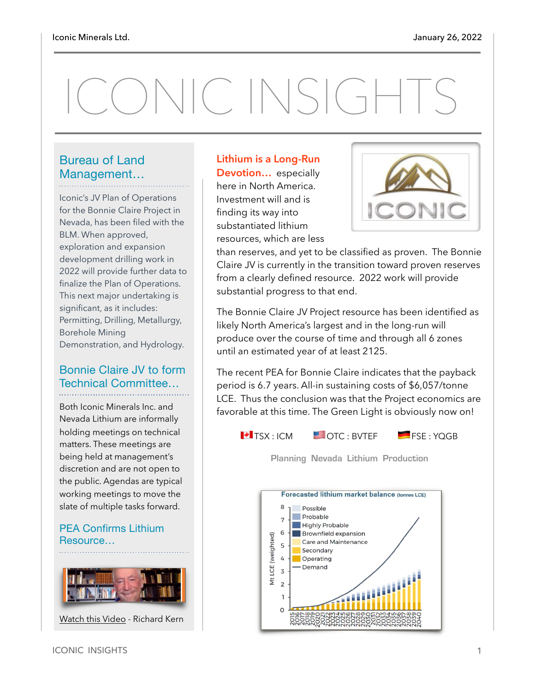# ONIC INSIGHTS

#### Bureau of Land Management…

Iconic's JV Plan of Operations for the Bonnie Claire Project in Nevada, has been filed with the BLM. When approved, exploration and expansion development drilling work in 2022 will provide further data to finalize the Plan of Operations. This next major undertaking is significant, as it includes: Permitting, Drilling, Metallurgy, Borehole Mining Demonstration, and Hydrology.

#### Bonnie Claire JV to form Technical Committee…

Both Iconic Minerals Inc. and Nevada Lithium are informally holding meetings on technical matters. These meetings are being held at management's discretion and are not open to the public. Agendas are typical working meetings to move the slate of multiple tasks forward.

#### PEA Confirms Lithium Resource…



[Watch this Video](https://www.youtube.com/watch?v=vsXsFvm4QMY) - Richard Kern

**Lithium is a Long-Run Devotion…** especially here in North America. Investment will and is finding its way into substantiated lithium resources, which are less



than reserves, and yet to be classified as proven. The Bonnie Claire JV is currently in the transition toward proven reserves from a clearly defined resource. 2022 work will provide substantial progress to that end.

The Bonnie Claire JV Project resource has been identified as likely North America's largest and in the long-run will produce over the course of time and through all 6 zones until an estimated year of at least 2125.

The recent PEA for Bonnie Claire indicates that the payback period is 6.7 years. All-in sustaining costs of \$6,057/tonne LCE. Thus the conclusion was that the Project economics are favorable at this time. The Green Light is obviously now on!